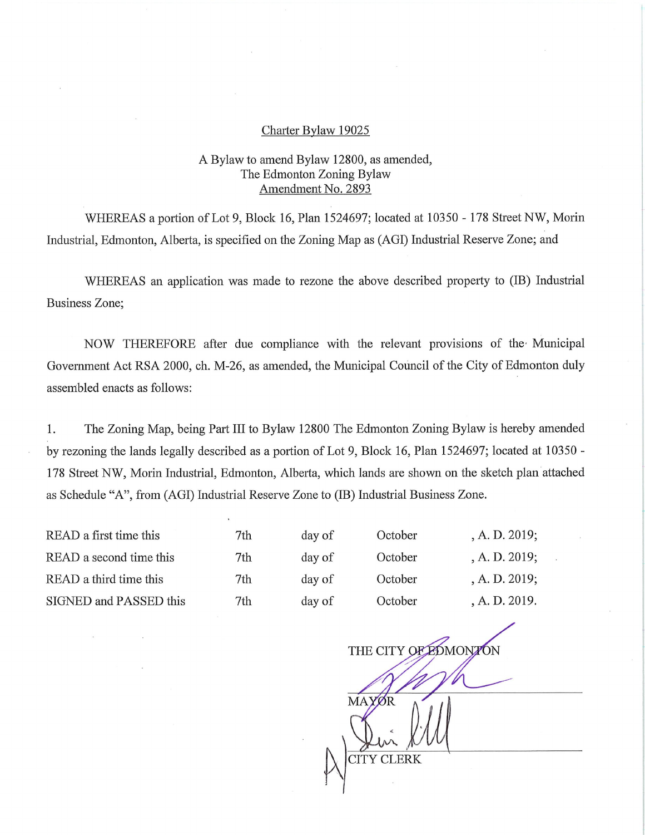## Charter Bylaw 19025

## A Bylaw to amend Bylaw 12800, as amended, The Edmonton Zoning Bylaw Amendment No. 2893

WHEREAS a portion of Lot 9, Block 16, Plan 1524697; located at 10350 - 178 Street NW, Morin Industrial, Edmonton, Alberta, is specified on the Zoning Map as (AGI) Industrial Reserve Zone; and

WHEREAS an application was made to rezone the above described property to (IB) Industrial Business Zone;

NOW THEREFORE after due compliance with the relevant provisions of the Municipal Government Act RSA 2000, ch. M-26, as amended, the Municipal Council of the City of Edmonton duly assembled enacts as follows:

1. The Zoning Map, being Part III to Bylaw 12800 The Edmonton Zoning Bylaw is hereby amended by rezoning the lands legally described as a portion of Lot 9, Block 16, Plan 1524697; located at 10350 - 178 Street NW, Morin Industrial, Edmonton, Alberta, which lands are shown on the sketch plan attached as Schedule "A", from (AGI) Industrial Reserve Zone to (IB) Industrial Business Zone.

| READ a first time this  | 7th | day of | October | A. D. 2019; |
|-------------------------|-----|--------|---------|-------------|
| READ a second time this | 7th | day of | October | A. D. 2019; |
| READ a third time this  | 7th | day of | October | A. D. 2019; |
| SIGNED and PASSED this  | 7th | day of | October | A. D. 2019. |

THE CITY OF EDMONTON MAYOR CITY CLERK